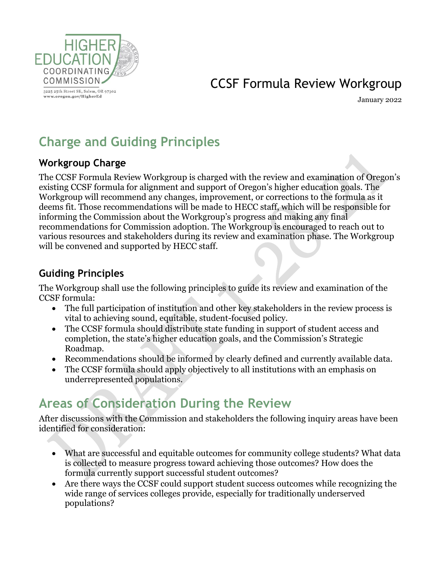

## CCSF Formula Review Workgroup

January 2022

## **Charge and Guiding Principles**

#### **Workgroup Charge**

The CCSF Formula Review Workgroup is charged with the review and examination of Oregon's existing CCSF formula for alignment and support of Oregon's higher education goals. The Workgroup will recommend any changes, improvement, or corrections to the formula as it deems fit. Those recommendations will be made to HECC staff, which will be responsible for informing the Commission about the Workgroup's progress and making any final recommendations for Commission adoption. The Workgroup is encouraged to reach out to various resources and stakeholders during its review and examination phase. The Workgroup will be convened and supported by HECC staff.

#### **Guiding Principles**

The Workgroup shall use the following principles to guide its review and examination of the CCSF formula:

- The full participation of institution and other key stakeholders in the review process is vital to achieving sound, equitable, student-focused policy.
- The CCSF formula should distribute state funding in support of student access and completion, the state's higher education goals, and the Commission's Strategic Roadmap.
- Recommendations should be informed by clearly defined and currently available data.
- The CCSF formula should apply objectively to all institutions with an emphasis on underrepresented populations.

### **Areas of Consideration During the Review**

After discussions with the Commission and stakeholders the following inquiry areas have been identified for consideration:

- What are successful and equitable outcomes for community college students? What data is collected to measure progress toward achieving those outcomes? How does the formula currently support successful student outcomes?
- Are there ways the CCSF could support student success outcomes while recognizing the wide range of services colleges provide, especially for traditionally underserved populations?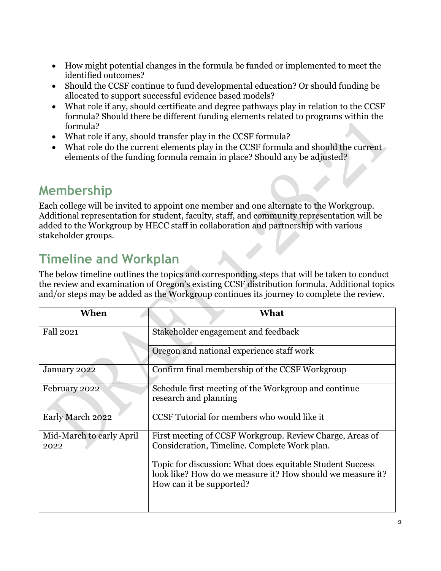- How might potential changes in the formula be funded or implemented to meet the identified outcomes?
- Should the CCSF continue to fund developmental education? Or should funding be allocated to support successful evidence based models?
- What role if any, should certificate and degree pathways play in relation to the CCSF formula? Should there be different funding elements related to programs within the formula?
- What role if any, should transfer play in the CCSF formula?
- What role do the current elements play in the CCSF formula and should the current elements of the funding formula remain in place? Should any be adjusted?

### **Membership**

Each college will be invited to appoint one member and one alternate to the Workgroup. Additional representation for student, faculty, staff, and community representation will be added to the Workgroup by HECC staff in collaboration and partnership with various stakeholder groups.

# **Timeline and Workplan**

The below timeline outlines the topics and corresponding steps that will be taken to conduct the review and examination of Oregon's existing CCSF distribution formula. Additional topics and/or steps may be added as the Workgroup continues its journey to complete the review.

| When                             | What                                                                                                                                                |
|----------------------------------|-----------------------------------------------------------------------------------------------------------------------------------------------------|
| Fall 2021                        | Stakeholder engagement and feedback                                                                                                                 |
|                                  | Oregon and national experience staff work                                                                                                           |
| January 2022                     | Confirm final membership of the CCSF Workgroup                                                                                                      |
| February 2022                    | Schedule first meeting of the Workgroup and continue<br>research and planning                                                                       |
| Early March 2022                 | CCSF Tutorial for members who would like it                                                                                                         |
| Mid-March to early April<br>2022 | First meeting of CCSF Workgroup. Review Charge, Areas of<br>Consideration, Timeline. Complete Work plan.                                            |
|                                  | Topic for discussion: What does equitable Student Success<br>look like? How do we measure it? How should we measure it?<br>How can it be supported? |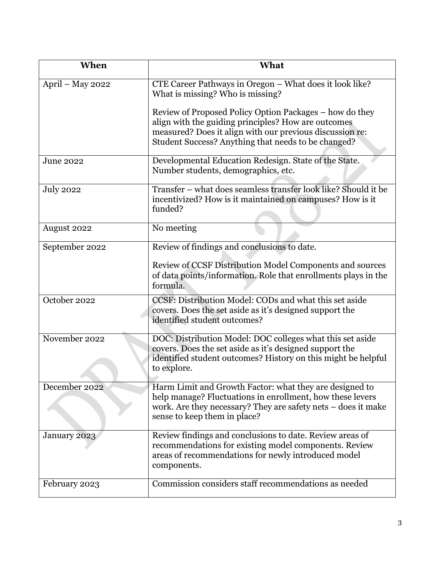| When             | What                                                                                                                                                                                                                              |
|------------------|-----------------------------------------------------------------------------------------------------------------------------------------------------------------------------------------------------------------------------------|
| April – May 2022 | CTE Career Pathways in Oregon - What does it look like?<br>What is missing? Who is missing?                                                                                                                                       |
|                  | Review of Proposed Policy Option Packages – how do they<br>align with the guiding principles? How are outcomes<br>measured? Does it align with our previous discussion re:<br>Student Success? Anything that needs to be changed? |
| June 2022        | Developmental Education Redesign. State of the State.<br>Number students, demographics, etc.                                                                                                                                      |
| <b>July 2022</b> | Transfer – what does seamless transfer look like? Should it be<br>incentivized? How is it maintained on campuses? How is it<br>funded?                                                                                            |
| August 2022      | No meeting                                                                                                                                                                                                                        |
| September 2022   | Review of findings and conclusions to date.                                                                                                                                                                                       |
|                  | Review of CCSF Distribution Model Components and sources<br>of data points/information. Role that enrollments plays in the<br>formula.                                                                                            |
| October 2022     | CCSF: Distribution Model: CODs and what this set aside<br>covers. Does the set aside as it's designed support the<br>identified student outcomes?                                                                                 |
| November 2022    | DOC: Distribution Model: DOC colleges what this set aside<br>covers. Does the set aside as it's designed support the<br>identified student outcomes? History on this might be helpful<br>to explore.                              |
| December 2022    | Harm Limit and Growth Factor: what they are designed to<br>help manage? Fluctuations in enrollment, how these levers<br>work. Are they necessary? They are safety nets - does it make<br>sense to keep them in place?             |
| January 2023     | Review findings and conclusions to date. Review areas of<br>recommendations for existing model components. Review<br>areas of recommendations for newly introduced model<br>components.                                           |
| February 2023    | Commission considers staff recommendations as needed                                                                                                                                                                              |